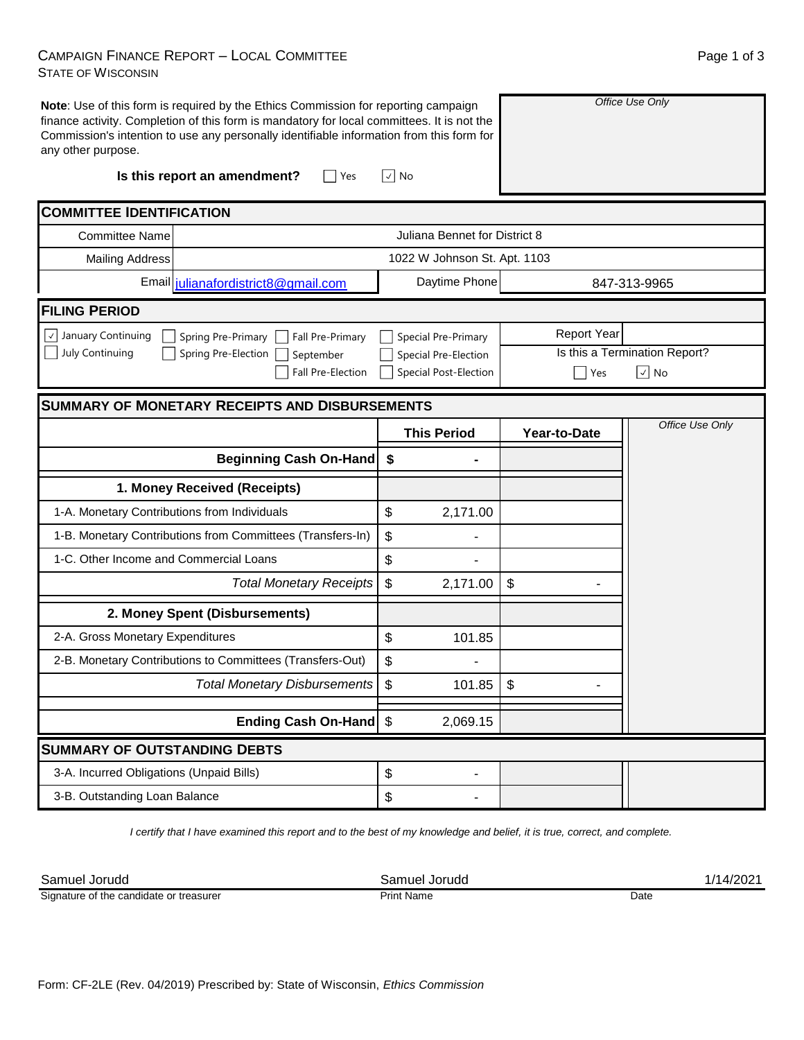## CAMPAIGN FINANCE REPORT – LOCAL COMMITTEE STATE OF WISCONSIN

|                          |     |                          | Page 1 of 3 |  |
|--------------------------|-----|--------------------------|-------------|--|
|                          |     |                          |             |  |
| $\overline{\phantom{a}}$ | . . | $\overline{\phantom{0}}$ |             |  |

| any other purpose.                                                        | Note: Use of this form is required by the Ethics Commission for reporting campaign<br>finance activity. Completion of this form is mandatory for local committees. It is not the<br>Commission's intention to use any personally identifiable information from this form for<br>Is this report an amendment?<br>Yes | √  No                                                         |                        | Office Use Only               |  |  |  |  |  |
|---------------------------------------------------------------------------|---------------------------------------------------------------------------------------------------------------------------------------------------------------------------------------------------------------------------------------------------------------------------------------------------------------------|---------------------------------------------------------------|------------------------|-------------------------------|--|--|--|--|--|
| <b>COMMITTEE IDENTIFICATION</b>                                           |                                                                                                                                                                                                                                                                                                                     |                                                               |                        |                               |  |  |  |  |  |
|                                                                           |                                                                                                                                                                                                                                                                                                                     |                                                               |                        |                               |  |  |  |  |  |
| Juliana Bennet for District 8<br>Committee Name<br><b>Mailing Address</b> |                                                                                                                                                                                                                                                                                                                     |                                                               |                        |                               |  |  |  |  |  |
|                                                                           | Email julianafordistrict8@gmail.com                                                                                                                                                                                                                                                                                 | 1022 W Johnson St. Apt. 1103<br>Daytime Phone<br>847-313-9965 |                        |                               |  |  |  |  |  |
| <b>FILING PERIOD</b>                                                      |                                                                                                                                                                                                                                                                                                                     |                                                               |                        |                               |  |  |  |  |  |
| $\vee$ January Continuing                                                 | Spring Pre-Primary<br>Fall Pre-Primary                                                                                                                                                                                                                                                                              | Special Pre-Primary                                           | <b>Report Year</b>     |                               |  |  |  |  |  |
| July Continuing                                                           | Spring Pre-Election<br>September                                                                                                                                                                                                                                                                                    | Special Pre-Election                                          |                        | Is this a Termination Report? |  |  |  |  |  |
|                                                                           | Fall Pre-Election                                                                                                                                                                                                                                                                                                   | <b>Special Post-Election</b>                                  | $ \!\vee\! $ No<br>Yes |                               |  |  |  |  |  |
|                                                                           | <b>SUMMARY OF MONETARY RECEIPTS AND DISBURSEMENTS</b>                                                                                                                                                                                                                                                               |                                                               |                        |                               |  |  |  |  |  |
|                                                                           |                                                                                                                                                                                                                                                                                                                     | <b>This Period</b>                                            | Year-to-Date           | Office Use Only               |  |  |  |  |  |
|                                                                           | <b>Beginning Cash On-Hand</b>                                                                                                                                                                                                                                                                                       | \$                                                            |                        |                               |  |  |  |  |  |
|                                                                           | 1. Money Received (Receipts)                                                                                                                                                                                                                                                                                        |                                                               |                        |                               |  |  |  |  |  |
| 1-A. Monetary Contributions from Individuals                              |                                                                                                                                                                                                                                                                                                                     | \$<br>2,171.00                                                |                        |                               |  |  |  |  |  |
|                                                                           | 1-B. Monetary Contributions from Committees (Transfers-In)                                                                                                                                                                                                                                                          | \$                                                            |                        |                               |  |  |  |  |  |
| 1-C. Other Income and Commercial Loans                                    |                                                                                                                                                                                                                                                                                                                     | \$                                                            |                        |                               |  |  |  |  |  |
|                                                                           | <b>Total Monetary Receipts</b>                                                                                                                                                                                                                                                                                      | \$<br>2,171.00                                                | \$                     |                               |  |  |  |  |  |
|                                                                           | 2. Money Spent (Disbursements)                                                                                                                                                                                                                                                                                      |                                                               |                        |                               |  |  |  |  |  |
| 2-A. Gross Monetary Expenditures                                          |                                                                                                                                                                                                                                                                                                                     | \$<br>101.85                                                  |                        |                               |  |  |  |  |  |
|                                                                           | 2-B. Monetary Contributions to Committees (Transfers-Out)                                                                                                                                                                                                                                                           | \$<br>$\overline{\phantom{0}}$                                |                        |                               |  |  |  |  |  |
|                                                                           | Total Monetary Disbursements                                                                                                                                                                                                                                                                                        | \$<br>101.85                                                  | \$                     |                               |  |  |  |  |  |
|                                                                           | Ending Cash On-Hand \$                                                                                                                                                                                                                                                                                              | 2,069.15                                                      |                        |                               |  |  |  |  |  |
| <b>SUMMARY OF OUTSTANDING DEBTS</b>                                       |                                                                                                                                                                                                                                                                                                                     |                                                               |                        |                               |  |  |  |  |  |
| 3-A. Incurred Obligations (Unpaid Bills)                                  |                                                                                                                                                                                                                                                                                                                     | \$<br>$\overline{\phantom{0}}$                                |                        |                               |  |  |  |  |  |
| 3-B. Outstanding Loan Balance                                             |                                                                                                                                                                                                                                                                                                                     | \$                                                            |                        |                               |  |  |  |  |  |

*I certify that I have examined this report and to the best of my knowledge and belief, it is true, correct, and complete.*

Samuel Jorudd Samuel Jorudd 1/14/2021

Signature of the candidate or treasurer

Print Name Date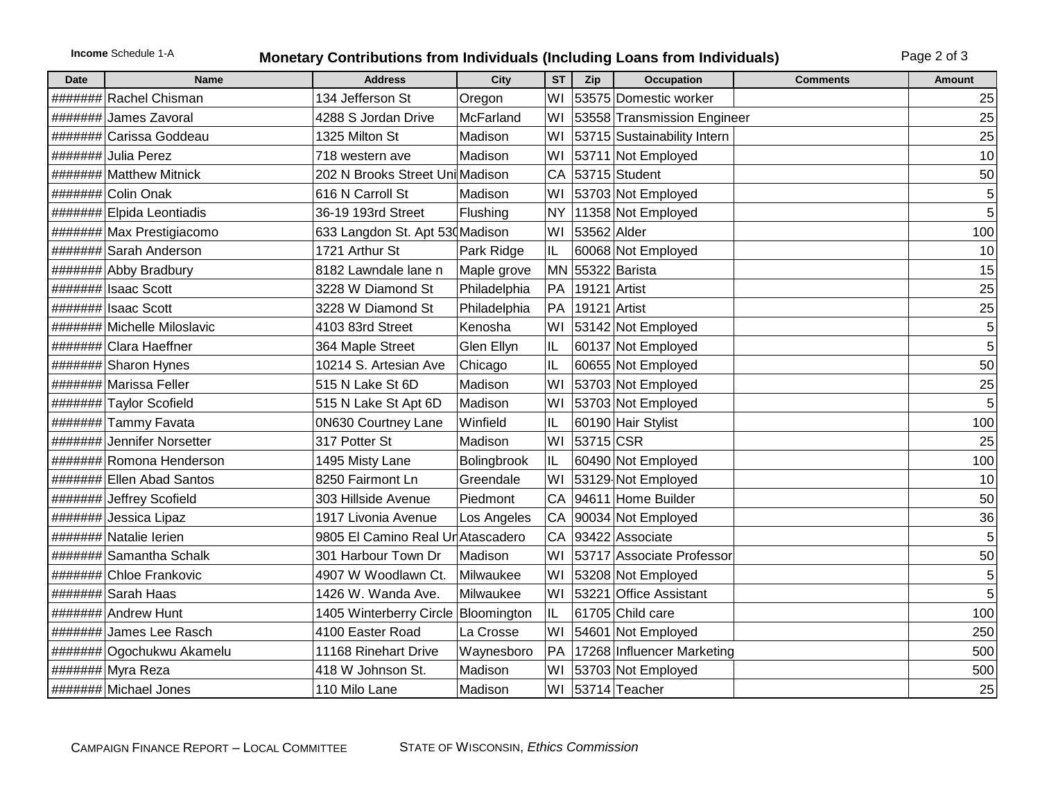## **Income** Schedule 1-A **Monetary Contributions from Individuals (Including Loans from Individuals)** Page 2 of 3

| <b>Date</b> | <b>Name</b>                 | <b>Address</b>                        | City         | <b>ST</b> | Zip          | <b>Occupation</b>           | <b>Comments</b> | <b>Amount</b>  |
|-------------|-----------------------------|---------------------------------------|--------------|-----------|--------------|-----------------------------|-----------------|----------------|
|             | ####### Rachel Chisman      | 134 Jefferson St                      | Oregon       | WI        |              | 53575 Domestic worker       |                 | 25             |
|             | ####### James Zavoral       | 4288 S Jordan Drive                   | McFarland    | WI        |              | 53558 Transmission Engineer |                 | 25             |
|             | ####### Carissa Goddeau     | 1325 Milton St                        | Madison      | WI        |              | 53715 Sustainability Intern |                 | 25             |
|             | ####### Julia Perez         | 718 western ave                       | Madison      | WI        |              | 53711 Not Employed          |                 | 10             |
|             | ####### Matthew Mitnick     | 202 N Brooks Street Uni Madison       |              | <b>CA</b> |              | 53715 Student               |                 | 50             |
|             | ####### Colin Onak          | 616 N Carroll St                      | Madison      | WI        |              | 53703 Not Employed          |                 | 5 <sup>1</sup> |
|             | #######  Elpida Leontiadis  | 36-19 193rd Street                    | Flushing     | <b>NY</b> |              | 11358 Not Employed          |                 | 5              |
|             | ####### Max Prestigiacomo   | 633 Langdon St. Apt 530 Madison       |              | lwı       | 53562 Alder  |                             |                 | 100            |
|             | ####### Sarah Anderson      | 1721 Arthur St                        | Park Ridge   | IL        |              | 60068 Not Employed          |                 | 10             |
|             | ####### Abby Bradbury       | 8182 Lawndale lane n                  | Maple grove  |           |              | MN 55322 Barista            |                 | 15             |
|             | #######  Isaac Scott        | 3228 W Diamond St                     | Philadelphia | PA        | 19121 Artist |                             |                 | 25             |
|             | #######  Isaac Scott        | 3228 W Diamond St                     | Philadelphia | PA        | 19121 Artist |                             |                 | 25             |
|             | ####### Michelle Miloslavic | 4103 83rd Street                      | Kenosha      | lwı       |              | 53142 Not Employed          |                 | 5 <sup>1</sup> |
|             | ####### Clara Haeffner      | 364 Maple Street                      | Glen Ellyn   | IL        |              | 60137 Not Employed          |                 | 5              |
|             | ####### Sharon Hynes        | 10214 S. Artesian Ave                 | Chicago      | IL        |              | 60655 Not Employed          |                 | 50             |
|             | ####### Marissa Feller      | 515 N Lake St 6D                      | Madison      | lwı       |              | 53703 Not Employed          |                 | 25             |
|             | ####### Taylor Scofield     | 515 N Lake St Apt 6D                  | Madison      | lwı       |              | 53703 Not Employed          |                 | 5 <sup>1</sup> |
|             | ####### Tammy Favata        | 0N630 Courtney Lane                   | Winfield     | IL        |              | 60190 Hair Stylist          |                 | 100            |
|             | ####### Jennifer Norsetter  | 317 Potter St                         | Madison      | lwı       | 53715 CSR    |                             |                 | 25             |
|             | ####### Romona Henderson    | 1495 Misty Lane                       | Bolingbrook  | IL        |              | 60490 Not Employed          |                 | 100            |
|             | #######  Ellen Abad Santos  | 8250 Fairmont Ln                      | Greendale    | lwı       |              | 53129 Not Employed          |                 | 10             |
|             | ####### Jeffrey Scofield    | 303 Hillside Avenue                   | Piedmont     | CA        |              | 94611 Home Builder          |                 | 50             |
|             | ####### Jessica Lipaz       | 1917 Livonia Avenue                   | Los Angeles  | CA        |              | 90034 Not Employed          |                 | 36             |
|             | ####### Natalie lerien      | 9805 El Camino Real Ur Atascadero     |              | CA        |              | 93422 Associate             |                 | 5 <sub>1</sub> |
|             | ####### Samantha Schalk     | 301 Harbour Town Dr                   | Madison      | WI        |              | 53717 Associate Professor   |                 | 50             |
|             | ####### Chloe Frankovic     | 4907 W Woodlawn Ct.                   | Milwaukee    | WI        |              | 53208 Not Employed          |                 | 5              |
|             | ####### Sarah Haas          | 1426 W. Wanda Ave.                    | Milwaukee    | WI        |              | 53221 Office Assistant      |                 | 5 <sup>2</sup> |
|             | ####### Andrew Hunt         | 1405 Winterberry Circle   Bloomington |              | IL        |              | 61705 Child care            |                 | 100            |
|             | ####### James Lee Rasch     | 4100 Easter Road                      | La Crosse    | lwı       |              | 54601 Not Employed          |                 | 250            |
|             | ######## Ogochukwu Akamelu  | 11168 Rinehart Drive                  | Waynesboro   | PA        |              | 17268 Influencer Marketing  |                 | 500            |
|             | ####### Myra Reza           | 418 W Johnson St.                     | Madison      | WI        |              | 53703 Not Employed          |                 | 500            |
|             | ####### Michael Jones       | 110 Milo Lane                         | Madison      |           |              | WI 53714 Teacher            |                 | 25             |